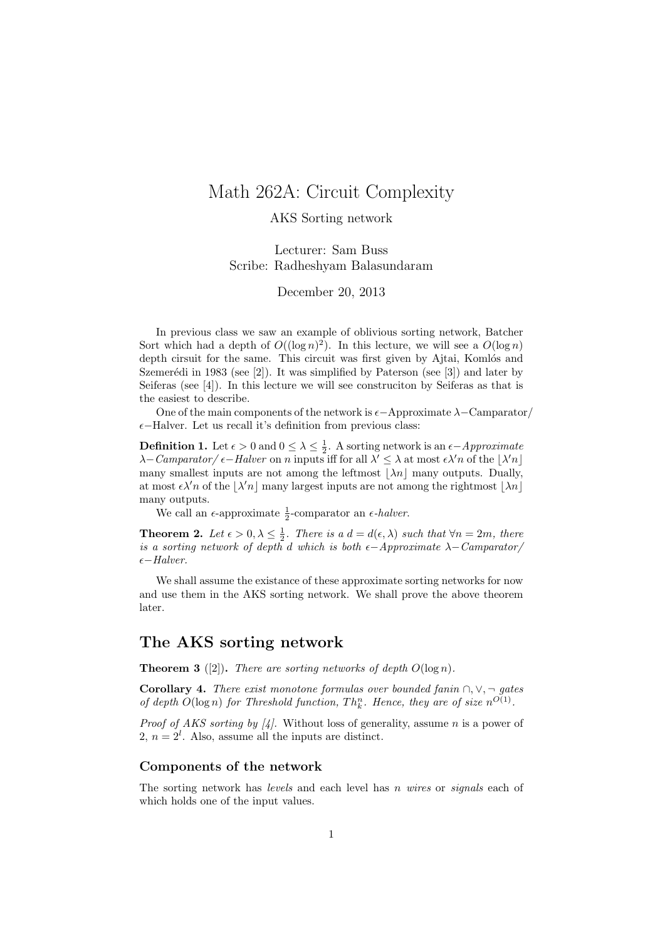# Math 262A: Circuit Complexity

### AKS Sorting network

Lecturer: Sam Buss Scribe: Radheshyam Balasundaram

December 20, 2013

In previous class we saw an example of oblivious sorting network, Batcher Sort which had a depth of  $O((\log n)^2)$ . In this lecture, we will see a  $O(\log n)$ depth cirsuit for the same. This circuit was first given by Ajtai, Komlós and Szemerédi in 1983 (see  $[2]$ ). It was simplified by Paterson (see  $[3]$ ) and later by Seiferas (see [4]). In this lecture we will see construciton by Seiferas as that is the easiest to describe.

One of the main components of the network is  $\epsilon-\text{Approximate }\lambda-\text{Camparator}/\lambda$  $\epsilon$ −Halver. Let us recall it's definition from previous class:

**Definition 1.** Let  $\epsilon > 0$  and  $0 \le \lambda \le \frac{1}{2}$ . A sorting network is an  $\epsilon$ -Approximate  $\lambda$ – Camparator/ $\epsilon$ – Halver on n inputs iff for all  $\lambda' \leq \lambda$  at most  $\epsilon \lambda' n$  of the  $|\lambda' n|$ many smallest inputs are not among the leftmost  $|\lambda n|$  many outputs. Dually, at most  $\epsilon \lambda' n$  of the  $|\lambda' n|$  many largest inputs are not among the rightmost  $|\lambda n|$ many outputs.

We call an  $\epsilon$ -approximate  $\frac{1}{2}$ -comparator an  $\epsilon$ -*halver*.

**Theorem 2.** Let  $\epsilon > 0, \lambda \leq \frac{1}{2}$ . There is a  $d = d(\epsilon, \lambda)$  such that  $\forall n = 2m$ , there is a sorting network of depth d which is both  $\epsilon$ -Approximate  $\lambda$ -Camparator/  $\epsilon$ −Halver.

We shall assume the existance of these approximate sorting networks for now and use them in the AKS sorting network. We shall prove the above theorem later.

## The AKS sorting network

**Theorem 3** ([2]). There are sorting networks of depth  $O(\log n)$ .

Corollary 4. There exist monotone formulas over bounded fanin  $\cap, \vee, \neg$  gates of depth  $O(\log n)$  for Threshold function,  $Th_k^n$ . Hence, they are of size  $n^{O(1)}$ .

*Proof of AKS sorting by [4].* Without loss of generality, assume *n* is a power of 2,  $n = 2^l$ . Also, assume all the inputs are distinct.

#### Components of the network

The sorting network has *levels* and each level has *n* wires or *signals* each of which holds one of the input values.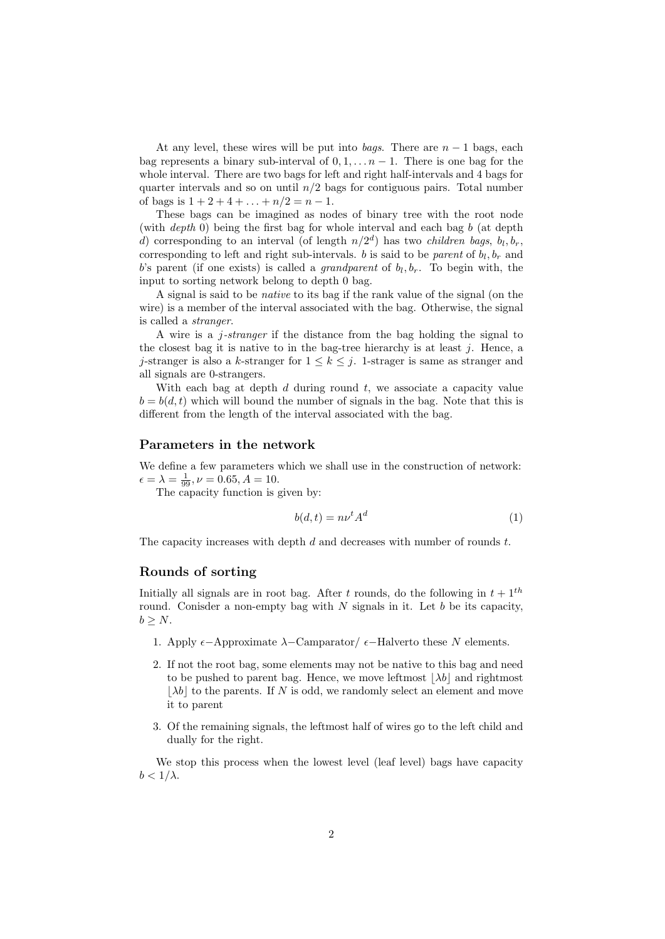At any level, these wires will be put into *bags*. There are  $n - 1$  bags, each bag represents a binary sub-interval of  $0, 1, \ldots n-1$ . There is one bag for the whole interval. There are two bags for left and right half-intervals and 4 bags for quarter intervals and so on until  $n/2$  bags for contiguous pairs. Total number of bags is  $1 + 2 + 4 + \ldots + n/2 = n - 1$ .

These bags can be imagined as nodes of binary tree with the root node (with *depth* 0) being the first bag for whole interval and each bag b (at depth d) corresponding to an interval (of length  $n/2<sup>d</sup>$ ) has two *children bags*,  $b<sub>l</sub>, b<sub>r</sub>$ , corresponding to left and right sub-intervals. b is said to be *parent* of  $b_l, b_r$  and b's parent (if one exists) is called a *grandparent* of  $b_l, b_r$ . To begin with, the input to sorting network belong to depth 0 bag.

A signal is said to be native to its bag if the rank value of the signal (on the wire) is a member of the interval associated with the bag. Otherwise, the signal is called a stranger.

A wire is a  $i$ -stranger if the distance from the bag holding the signal to the closest bag it is native to in the bag-tree hierarchy is at least  $j$ . Hence, a j-stranger is also a k-stranger for  $1 \leq k \leq j$ . 1-strager is same as stranger and all signals are 0-strangers.

With each bag at depth  $d$  during round  $t$ , we associate a capacity value  $b = b(d, t)$  which will bound the number of signals in the bag. Note that this is different from the length of the interval associated with the bag.

### Parameters in the network

We define a few parameters which we shall use in the construction of network:  $\epsilon = \lambda = \frac{1}{99}, \nu = 0.65, A = 10.$ 

The capacity function is given by:

$$
b(d,t) = n\nu^t A^d \tag{1}
$$

The capacity increases with depth  $d$  and decreases with number of rounds  $t$ .

#### Rounds of sorting

Initially all signals are in root bag. After t rounds, do the following in  $t + 1$ <sup>th</sup> round. Conisder a non-empty bag with  $N$  signals in it. Let  $b$  be its capacity,  $b \geq N$ .

- 1. Apply  $\epsilon-\text{Approximate }\lambda-\text{Camparator}/\epsilon-\text{Halvert}$  these N elements.
- 2. If not the root bag, some elements may not be native to this bag and need to be pushed to parent bag. Hence, we move leftmost  $|\lambda b|$  and rightmost  $|\lambda b|$  to the parents. If N is odd, we randomly select an element and move it to parent
- 3. Of the remaining signals, the leftmost half of wires go to the left child and dually for the right.

We stop this process when the lowest level (leaf level) bags have capacity  $b < 1/\lambda$ .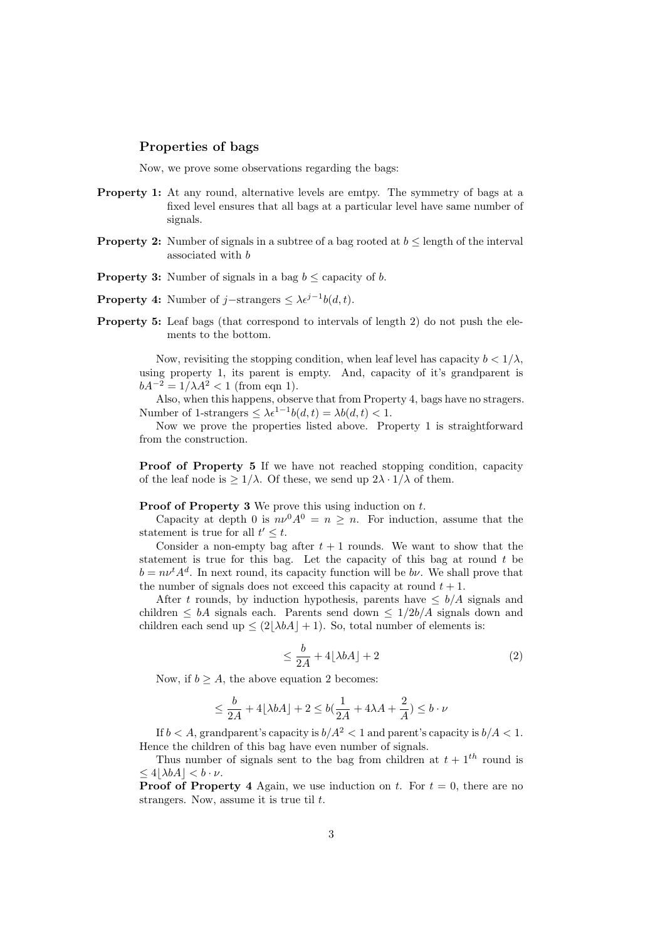#### Properties of bags

Now, we prove some observations regarding the bags:

- Property 1: At any round, alternative levels are emtpy. The symmetry of bags at a fixed level ensures that all bags at a particular level have same number of signals.
- **Property 2:** Number of signals in a subtree of a bag rooted at  $b \leq$  length of the interval associated with b
- **Property 3:** Number of signals in a bag  $b \leq$  capacity of b.
- **Property 4:** Number of j–strangers  $\leq \lambda e^{j-1}b(d,t)$ .
- Property 5: Leaf bags (that correspond to intervals of length 2) do not push the elements to the bottom.

Now, revisiting the stopping condition, when leaf level has capacity  $b < 1/\lambda$ , using property 1, its parent is empty. And, capacity of it's grandparent is  $bA^{-2} = 1/\lambda A^2 < 1$  (from eqn 1).

Also, when this happens, observe that from Property 4, bags have no stragers. Number of 1-strangers  $\leq \lambda \epsilon^{1-1} b(d, t) = \lambda b(d, t) < 1$ .

Now we prove the properties listed above. Property 1 is straightforward from the construction.

Proof of Property 5 If we have not reached stopping condition, capacity of the leaf node is  $\geq 1/\lambda$ . Of these, we send up  $2\lambda \cdot 1/\lambda$  of them.

#### Proof of Property 3 We prove this using induction on t.

Capacity at depth 0 is  $n\nu^0 A^0 = n \geq n$ . For induction, assume that the statement is true for all  $t' \leq t$ .

Consider a non-empty bag after  $t + 1$  rounds. We want to show that the statement is true for this bag. Let the capacity of this bag at round t be  $b = n\nu^t A^d$ . In next round, its capacity function will be  $b\nu$ . We shall prove that the number of signals does not exceed this capacity at round  $t + 1$ .

After t rounds, by induction hypothesis, parents have  $\leq b/A$  signals and children  $\leq bA$  signals each. Parents send down  $\leq 1/2b/A$  signals down and children each send up  $\leq (2|\lambda bA| + 1)$ . So, total number of elements is:

$$
\leq \frac{b}{2A} + 4\lfloor \lambda bA \rfloor + 2\tag{2}
$$

Now, if  $b > A$ , the above equation 2 becomes:

$$
\leq \frac{b}{2A} + 4 \lfloor \lambda bA \rfloor + 2 \leq b(\frac{1}{2A} + 4\lambda A + \frac{2}{A}) \leq b \cdot \nu
$$

If  $b < A$ , grandparent's capacity is  $b/A^2 < 1$  and parent's capacity is  $b/A < 1$ . Hence the children of this bag have even number of signals.

Thus number of signals sent to the bag from children at  $t + 1$ <sup>th</sup> round is  $\langle 4|\lambda bA| < b \cdot \nu$ .

**Proof of Property 4** Again, we use induction on t. For  $t = 0$ , there are no strangers. Now, assume it is true til  $t$ .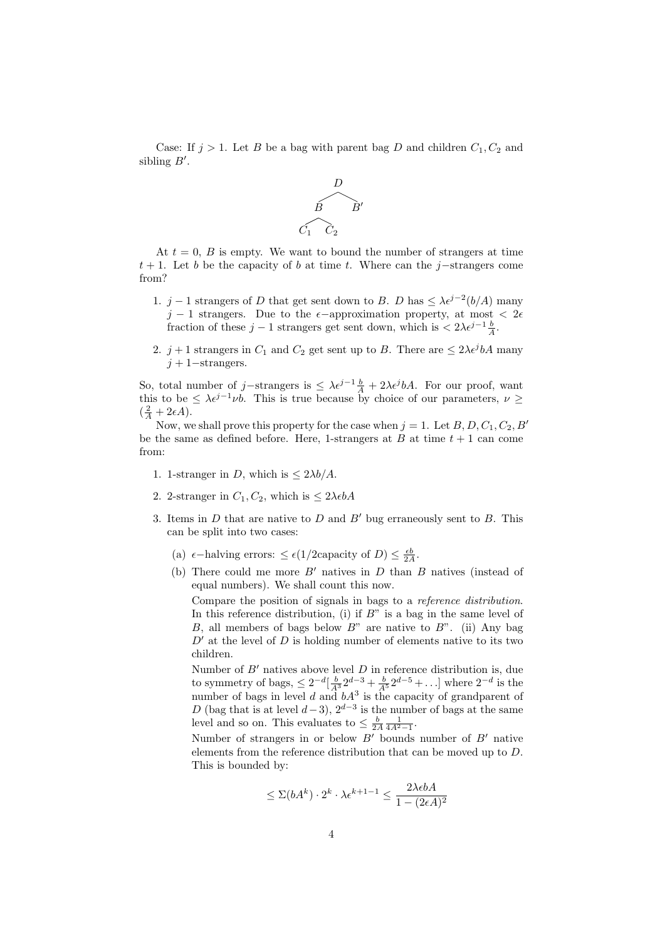Case: If  $j > 1$ . Let B be a bag with parent bag D and children  $C_1, C_2$  and sibling  $B'$ .



At  $t = 0$ , B is empty. We want to bound the number of strangers at time  $t + 1$ . Let b be the capacity of b at time t. Where can the j–strangers come from?

- 1. j − 1 strangers of D that get sent down to B. D has  $\leq \lambda \epsilon^{j-2} (b/A)$  many  $j-1$  strangers. Due to the  $\epsilon$ -approximation property, at most  $\epsilon$  2 $\epsilon$ fraction of these  $j - 1$  strangers get sent down, which is  $\langle 2\lambda \epsilon^{j-1} \frac{b}{A}$ .
- 2.  $j+1$  strangers in  $C_1$  and  $C_2$  get sent up to B. There are  $\leq 2\lambda \epsilon^j bA$  many  $j + 1$ −strangers.

So, total number of j–strangers is  $\leq \lambda \epsilon^{j-1} \frac{b}{A} + 2\lambda \epsilon^{j} bA$ . For our proof, want this to be  $\leq \lambda \epsilon^{j-1} \nu b$ . This is true because by choice of our parameters,  $\nu \geq$  $(\frac{2}{A}+2\epsilon A).$ 

Now, we shall prove this property for the case when  $j = 1$ . Let  $B, D, C_1, C_2, B'$ be the same as defined before. Here, 1-strangers at  $B$  at time  $t + 1$  can come from:

- 1. 1-stranger in D, which is  $\leq 2\lambda b/A$ .
- 2. 2-stranger in  $C_1, C_2$ , which is  $\leq 2\lambda \epsilon bA$
- 3. Items in  $D$  that are native to  $D$  and  $B'$  bug erraneously sent to  $B$ . This can be split into two cases:
	- (a)  $\epsilon$ -halving errors:  $\leq \epsilon (1/2 \text{capacity of } D) \leq \frac{\epsilon b}{2A}$ .
	- (b) There could me more  $B'$  natives in D than B natives (instead of equal numbers). We shall count this now.

Compare the position of signals in bags to a reference distribution. In this reference distribution, (i) if  $B$ " is a bag in the same level of B, all members of bags below  $B^{\prime\prime}$  are native to  $B^{\prime\prime}$ . (ii) Any bag  $D'$  at the level of D is holding number of elements native to its two children.

Number of  $B'$  natives above level  $D$  in reference distribution is, due to symmetry of bags,  $\leq 2^{-d} \left[\frac{b}{A^3} 2^{d-3} + \frac{b}{A^5} 2^{d-5} + \ldots \right]$  where  $2^{-d}$  is the number of bags in level d and  $bA<sup>3</sup>$  is the capacity of grandparent of D (bag that is at level  $d-3$ ),  $2^{d-3}$  is the number of bags at the same level and so on. This evaluates to  $\leq \frac{b}{2A} \frac{1}{4A^2 - 1}$ .

Number of strangers in or below  $B'$  bounds number of  $B'$  native elements from the reference distribution that can be moved up to D. This is bounded by:

$$
\leq \Sigma(bA^k) \cdot 2^k \cdot \lambda \epsilon^{k+1-1} \leq \frac{2\lambda \epsilon bA}{1 - (2\epsilon A)^2}
$$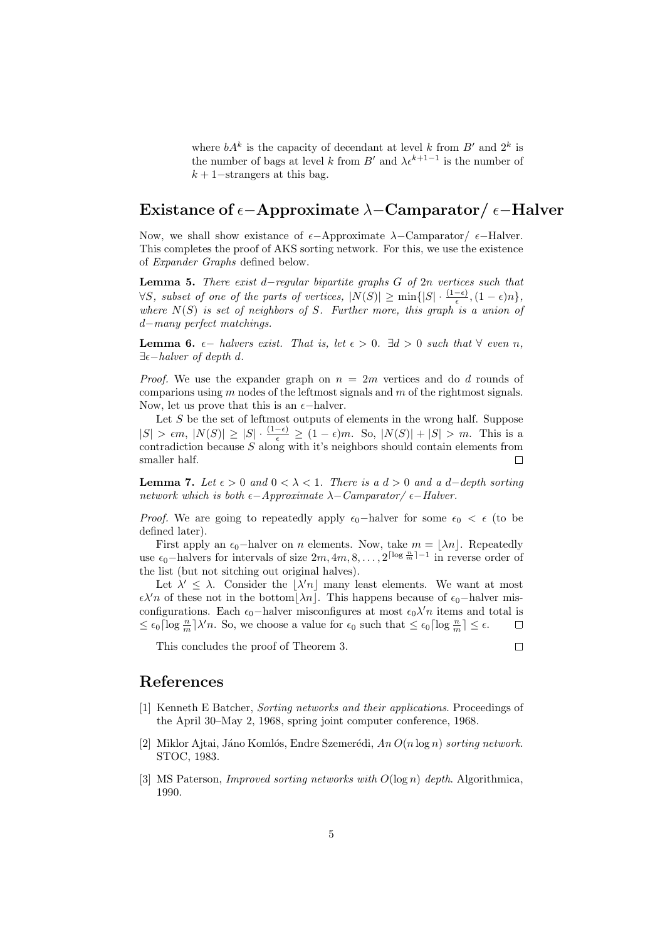where  $bA^k$  is the capacity of decendant at level k from  $B'$  and  $2^k$  is the number of bags at level k from B' and  $\lambda \epsilon^{k+1-1}$  is the number of  $k + 1$ −strangers at this bag.

# Existance of  $\epsilon$ -Approximate  $\lambda$ -Camparator/ $\epsilon$ -Halver

Now, we shall show existance of  $\epsilon-\text{Approximate }\lambda-\text{Camparator}/\epsilon-\text{Halver}.$ This completes the proof of AKS sorting network. For this, we use the existence of Expander Graphs defined below.

Lemma 5. There exist d−regular bipartite graphs G of 2n vertices such that  $\forall S$ , subset of one of the parts of vertices,  $|N(S)| \ge \min\{|S| \cdot \frac{(1-\epsilon)}{\epsilon}, (1-\epsilon)n\},\$ where  $N(S)$  is set of neighbors of S. Further more, this graph is a union of d−many perfect matchings.

**Lemma 6.**  $\epsilon$  – halvers exist. That is, let  $\epsilon > 0$ .  $\exists d > 0$  such that  $\forall$  even n,  $\exists \epsilon-halver \ of \ depth \ d.$ 

*Proof.* We use the expander graph on  $n = 2m$  vertices and do d rounds of comparions using  $m$  nodes of the leftmost signals and  $m$  of the rightmost signals. Now, let us prove that this is an  $\epsilon$ -halver.

Let  $S$  be the set of leftmost outputs of elements in the wrong half. Suppose  $|S| > \epsilon m$ ,  $|N(S)| \ge |S| \cdot \frac{(1-\epsilon)}{\epsilon} \ge (1-\epsilon)m$ . So,  $|N(S)| + |S| > m$ . This is a contradiction because  $S$  along with it's neighbors should contain elements from smaller half.  $\Box$ 

Lemma 7. Let  $\epsilon > 0$  and  $0 < \lambda < 1$ . There is a  $d > 0$  and a d−depth sorting network which is both  $\epsilon$ -Approximate  $\lambda$ -Camparator/ $\epsilon$ -Halver.

*Proof.* We are going to repeatedly apply  $\epsilon_0$ -halver for some  $\epsilon_0 < \epsilon$  (to be defined later).

First apply an  $\epsilon_0$ -halver on n elements. Now, take  $m = \lfloor \lambda n \rfloor$ . Repeatedly use  $\epsilon_0$ -halvers for intervals of size  $2m, 4m, 8, \ldots, 2^{\lceil \log \frac{n}{m} \rceil - 1}$  in reverse order of the list (but not sitching out original halves).

Let  $\lambda' \leq \lambda$ . Consider the  $|\lambda' n|$  many least elements. We want at most  $\epsilon \lambda' n$  of these not in the bottom $|\lambda n|$ . This happens because of  $\epsilon_0$ –halver misconfigurations. Each  $\epsilon_0$ -halver misconfigures at most  $\epsilon_0 \lambda' n$  items and total is  $\leq \epsilon_0 \lceil \log \frac{n}{m} \rceil \lambda' n$ . So, we choose a value for  $\epsilon_0$  such that  $\leq \epsilon_0 \lceil \log \frac{n}{m} \rceil \leq \epsilon$ .  $\Box$ 

This concludes the proof of Theorem 3.

## References

- [1] Kenneth E Batcher, Sorting networks and their applications. Proceedings of the April 30–May 2, 1968, spring joint computer conference, 1968.
- [2] Miklor Ajtai, Jáno Komlós, Endre Szemerédi,  $An O(n \log n)$  sorting network. STOC, 1983.
- [3] MS Paterson, *Improved sorting networks with*  $O(\log n)$  depth. Algorithmica, 1990.

 $\Box$